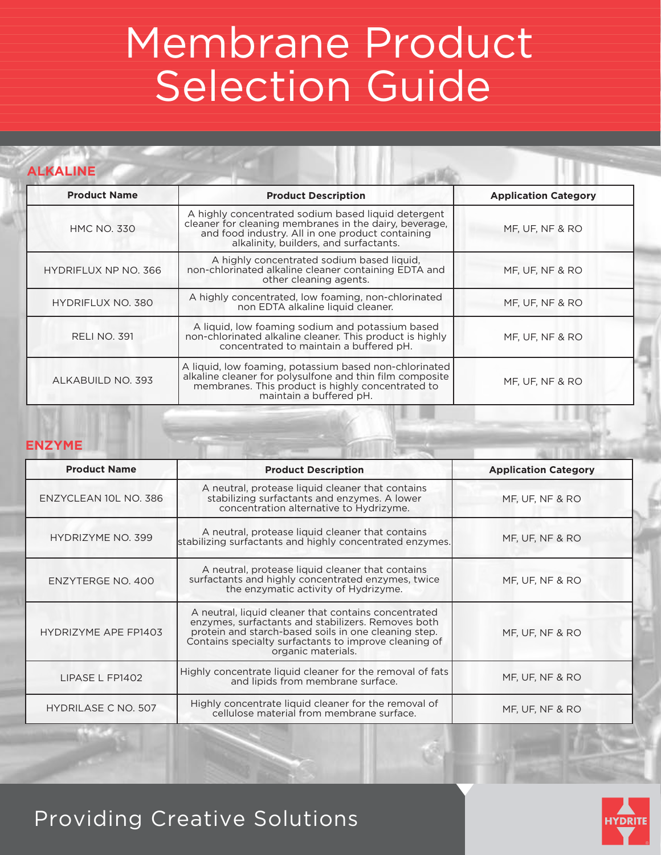# Membrane Product Selection Guide

**ALKALINE**

| <b>Product Name</b>      | <b>Product Description</b>                                                                                                                                                                                  | <b>Application Category</b> |
|--------------------------|-------------------------------------------------------------------------------------------------------------------------------------------------------------------------------------------------------------|-----------------------------|
| <b>HMC NO. 330</b>       | A highly concentrated sodium based liquid detergent<br>cleaner for cleaning membranes in the dairy, beverage,<br>and food industry. All in one product containing<br>alkalinity, builders, and surfactants. | MF, UF, NF & RO             |
| HYDRIFLUX NP NO. 366     | A highly concentrated sodium based liquid,<br>non-chlorinated alkaline cleaner containing EDTA and<br>other cleaning agents.                                                                                | MF, UF, NF & RO             |
| <b>HYDRIFLUX NO. 380</b> | A highly concentrated, low foaming, non-chlorinated<br>non EDTA alkaline liquid cleaner.                                                                                                                    | MF, UF, NF & RO             |
| <b>RELI NO. 391</b>      | A liquid, low foaming sodium and potassium based<br>non-chlorinated alkaline cleaner. This product is highly<br>concentrated to maintain a buffered pH.                                                     | MF, UF, NF & RO             |
| ALKABUILD NO. 393        | A liquid, low foaming, potassium based non-chlorinated<br>alkaline cleaner for polysulfone and thin film composite<br>membranes. This product is highly concentrated to<br>maintain a buffered pH.          | MF, UF, NF & RO             |

#### **ENZYME**

| <b>Product Name</b>         | <b>Product Description</b>                                                                                                                                                                                                                        | <b>Application Category</b> |
|-----------------------------|---------------------------------------------------------------------------------------------------------------------------------------------------------------------------------------------------------------------------------------------------|-----------------------------|
| ENZYCLEAN 10L NO. 386       | A neutral, protease liquid cleaner that contains<br>stabilizing surfactants and enzymes. A lower<br>concentration alternative to Hydrizyme.                                                                                                       | MF, UF, NF & RO             |
| <b>HYDRIZYME NO. 399</b>    | A neutral, protease liquid cleaner that contains<br>stabilizing surfactants and highly concentrated enzymes.                                                                                                                                      | MF, UF, NF & RO             |
| ENZYTERGE NO. 400           | A neutral, protease liquid cleaner that contains<br>surfactants and highly concentrated enzymes, twice<br>the enzymatic activity of Hydrizyme.                                                                                                    | MF, UF, NF & RO             |
| <b>HYDRIZYME APE FP1403</b> | A neutral, liquid cleaner that contains concentrated<br>enzymes, surfactants and stabilizers. Removes both<br>protein and starch-based soils in one cleaning step.<br>Contains specialty surfactants to improve cleaning of<br>organic materials. | MF, UF, NF & RO             |
| LIPASE L FP1402             | Highly concentrate liquid cleaner for the removal of fats<br>and lipids from membrane surface.                                                                                                                                                    | MF, UF, NF & RO             |
| <b>HYDRILASE C NO. 507</b>  | Highly concentrate liquid cleaner for the removal of<br>cellulose material from membrane surface.                                                                                                                                                 | MF, UF, NF & RO             |